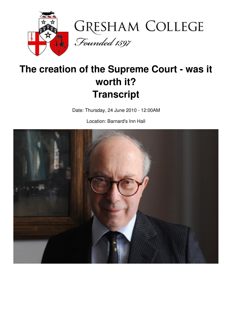



# **The creation of the Supreme Court - was it worth it? Transcript**

Date: Thursday, 24 June 2010 - 12:00AM

Location: Barnard's Inn Hall

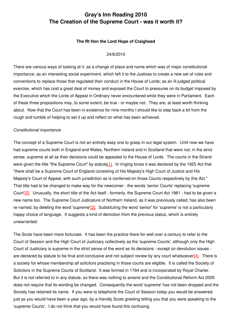## **Gray's Inn Reading 2010 The Creation of the Supreme Court - was it worth it?**

### **The Rt Hon the Lord Hope of Craighead**

#### 24/6/2010

There are various ways of looking at it: as a change of place and name which was of major constitutional importance; as an interesting social experiment, which left it to the Justices to create a new set of rules and conventions to replace those that regulated their conduct in the House of Lords; as an ill-judged political exercise, which has cost a great deal of money and exposed the Court to pressures on its budget imposed by the Executive which the Lords of Appeal in Ordinary never encountered while they were in Parliament. Each of these three propositions may, to some extent, be true - or maybe not. They are, at least worth thinking about. Now that the Court has been in existence for nine months I should like to step back a bit from the rough and tumble of helping to set it up and reflect on what has been achieved.

#### *Constitutional importance*

The concept of a Supreme Court is not an entirely easy one to grasp in our legal system. Until now we have had supreme courts both in England and Wales, Northern Ireland and in Scotland that were not, in the strict sense, supreme at all as their decisions could be appealed to the House of Lords. The courts in the Strand were given the title "the Supreme Court" by statute<sup>[1]</sup>. In ringing tones it was declared by the 1925 Act that "there shall be a Supreme Court of England consisting of His Majesty's High Court of Justice and His Majesty's Court of Appeal, with such jurisdiction as is conferred on those Courts respectively by this Act." That title had to be changed to make way for the newcomer - the words 'senior Courts' replacing 'supreme Court'[\[2\]](http://www.gresham.ac.uk/event.asp?PageId=45&EventId=907#_ftn2). Unusually, the short title of the Act itself - formerly, the Supreme Court Act 1981 - had to be given a new name too. The Supreme Court Judicature of Northern Ireland, as it was previously called, has also been re-named, by deleting the word 'supreme'[\[3\]](http://www.gresham.ac.uk/event.asp?PageId=45&EventId=907#_ftn3). Substituting the word 'senior' for 'supreme' is not a particularly happy choice of language. It suggests a kind of demotion from the previous status, which is entirely unwarranted.

The Scots have been more fortunate. It has been the practice there for well over a century to refer to the Court of Session and the High Court of Justiciary collectively as the 'supreme Courts', although only the High Court of Justiciary is supreme in the strict sense of the word as its decisions - except on devolution issues are declared by statute to be final and conclusive and not subject review by any court whatsoever $[4]$ . There is a society for whose membership all solicitors practising in those courts are eligible. It is called the Society of Solicitors in the Supreme Courts of Scotland. It was formed in 1784 and is incorporated by Royal Charter. But it is not referred to in any statute, so there was nothing to amend and the Constitutional Reform Act 2005 does not require that its wording be changed. Consequently the word 'supreme' has not been dropped and the Society has retained its name. If you were to telephone the Court of Session today you would be answered, just as you would have been a year ago, by a friendly Scots greeting telling you that you were speaking to the 'supreme Courts'. I do not think that you would have found this confusing.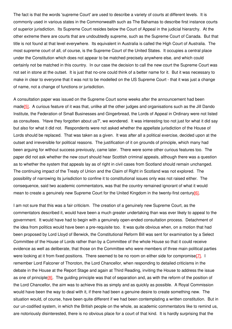The fact is that the words 'supreme Court' are used to describe a variety of courts at different levels. It is commonly used in various states in the Commonwealth such as The Bahamas to describe first instance courts of superior jurisdiction. Its Supreme Court resides below the Court of Appeal in the judicial hierarchy. At the other extreme there are courts that are undoubtedly supreme, such as the Supreme Court of Canada. But that title is not found at that level everywhere. Its equivalent in Australia is called the High Court of Australia. The most supreme court of all, of course, is the Supreme Court of the United States. It occupies a central place under the Constitution which does not appear to be matched precisely anywhere else, and which could certainly not be matched in this country. In our case the decision to call the new court the Supreme Court was not set in stone at the outset. It is just that no-one could think of a better name for it. But it was necessary to make in clear to everyone that it was not to be modelled on the US Supreme Court - that it was just a change of name, not a change of functions or jurisdiction.

A consultation paper was issued on the Supreme Court some weeks after the announcement had been mad[e\[5\]](http://www.gresham.ac.uk/event.asp?PageId=45&EventId=907#_ftn5). A curious feature of it was that, unlike all the other judges and organisations such as the Jill Dando Institute, the Federation of Small Businesses and Gingerbread, the Lords of Appeal in Ordinary were not listed as consultees. 'Have they forgotten about us?', we wondered. It was interesting too not just for what it did say but also for what it did not. Respondents were not asked whether the appellate jurisdiction of the House of Lords should be replaced. That was taken as a given. It was after all a political exercise, decided upon at the outset and irreversible for political reasons. The justification of it on grounds of principle, which many had been arguing for without success previously, came later. There were some other curious features too. The paper did not ask whether the new court should hear Scottish criminal appeals, although there was a question as to whether the system that appeals lay as of right in civil cases from Scotland should remain unchanged. The continuing impact of the Treaty of Union and the Claim of Right in Scotland was not explored. The possibility of narrowing its jurisdiction to confine it to constitutional issues only was not raised either. The consequence, said two academic commentators, was that the country remained ignorant of what it would mean to create a genuinely new Supreme Court for the United Kingdom in the twenty-first centur[y\[6\]](http://www.gresham.ac.uk/event.asp?PageId=45&EventId=907#_ftn6).

I am not sure that this was a fair criticism. The creation of a genuinely new Supreme Court, as the commentators described it, would have been a much greater undertaking than was ever likely to appeal to the government. It would have had to begin with a genuinely open-ended consultation process. Detachment of the idea from politics would have been a pre-requisite too. It was quite obvious when, on a motion that had been proposed by Lord Lloyd of Berwick, the Constitutional Reform Bill was sent for examination by a Select Committee of the House of Lords rather than by a Committee of the whole House so that it could receive evidence as well as deliberate, that those on the Committee who were members of three main political parties were looking at it from fixed positions. There seemed to be no room on either side for compromise<sup>[\[7\]](http://www.gresham.ac.uk/event.asp?PageId=45&EventId=907#_ftn7)</sup>. I remember Lord Falconer of Thoroton, the Lord Chancellor, when responding to detailed criticisms in the debate in the House at the Report Stage and again at Third Reading, inviting the House to address the issue as one of principl[e\[8\]](http://www.gresham.ac.uk/event.asp?PageId=45&EventId=907#_ftn8). The guiding principle was that of separation and, as with the reform of the position of the Lord Chancellor, the aim was to achieve this as simply and as quickly as possible. A Royal Commission would have been the way to deal with it, if there had been a genuine desire to create something new. The situation would, of course, have been quite different if we had been contemplating a written constitution. But in our un-codified system, in which the British people on the whole, as academic commentators like to remind us, are notoriously disinterested, there is no obvious place for a court of that kind. It is hardly surprising that the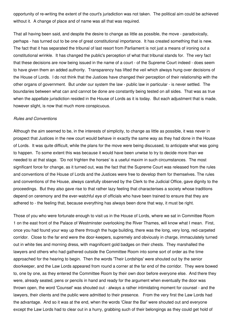opportunity of re-writing the extent of the court's jurisdiction was not taken. The political aim could be achieved without it. A change of place and of name was all that was required.

That all having been said, and despite the desire to change as little as possible, the move - paradoxically, perhaps - has turned out to be one of great constitutional importance. It has created something that is new. The fact that it has separated the tribunal of last resort from Parliament is not just a means of ironing out a constitutional wrinkle. It has changed the public's perception of what that tribunal stands for. The very fact that these decisions are now being issued in the name of a court - of the Supreme Court indeed - does seem to have given them an added authority. Transparency has lifted the veil which always hung over decisions of the House of Lords. I do not think that the Justices have changed their perception of their relationship with the other organs of government. But under our system the law - public law in particular - is never settled. The boundaries between what can and cannot be done are constantly being tested on all sides. That was as true when the appellate jurisdiction resided in the House of Lords as it is today. But each adjustment that is made, however slight, is now that much more conspicuous.

#### *Rules and Conventions*

Although the aim seemed to be, in the interests of simplicity, to change as little as possible, it was never in prospect that Justices in the new court would behave in exactly the same way as they had done in the House of Lords. It was quite difficult, while the plans for the move were being discussed, to anticipate what was going to happen. To some extent this was because it would have been unwise to try to decide more than we needed to at that stage. 'Do not frighten the horses' is a useful maxim in such circumstances. The most significant force for change, as it turned out, was the fact that the Supreme Court was released from the rules and conventions of the House of Lords and the Justices were free to develop them for themselves. The rules and conventions of the House, always carefully observed by the Clerk to the Judicial Office, gave dignity to the proceedings. But they also gave rise to that rather lazy feeling that characterises a society whose traditions depend on ceremony and the ever-watchful eye of officials who have been trained to ensure that they are adhered to - the feeling that, because everything has always been done that way, it must be right.

Those of you who were fortunate enough to visit us in the House of Lords, where we sat in Committee Room 1 on the east front of the Palace of Westminster overlooking the River Thames, will know what I mean. First, once you had found your way up there through the huge building, there was the long, very long, red-carpeted corridor. Close to the far end were the door-keepers, supremely and obviously in charge, immaculately turned out in white ties and morning dress, with magnificent gold badges on their chests. They marshalled the lawyers and others who had gathered outside the Committee Room into some sort of order as the time approached for the hearing to begin. Then the words 'Their Lordships' were shouted out by the senior doorkeeper, and the Law Lords appeared from round a corner at the far end of the corridor. They were bowed to, one by one, as they entered the Committee Room by their own door before everyone else. And there they were, already seated, pens or pencils in hand and ready for the argument when eventually the door was thrown open, the word 'Counsel' was shouted out - always a rather intimidating moment for counsel - and the lawyers, their clients and the public were admitted to their presence. From the very first the Law Lords had the advantage. And so it was at the end, when the words 'Clear the Bar' were shouted out and everyone except the Law Lords had to clear out in a hurry, grabbing such of their belongings as they could get hold of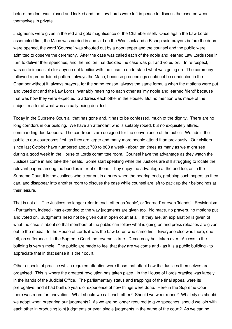before the door was closed and locked and the Law Lords were left in peace to discuss the case between themselves in private.

Judgments were given in the red and gold magnficence of the Chamber itself. Once again the Law Lords assembled first, the Mace was carried in and laid on the Woolsack and a Bishop said prayers before the doors were opened, the word 'Counsel' was shouted out by a doorkeeper and the counsel and the public were admitted to observe the ceremony. After the case was called each of the noble and learned Law Lords rose in turn to deliver their speeches, and the motion that decided the case was put and voted on. In retrospect, it was quite impossible for anyone not familiar with the case to understand what was going on. The ceremony followed a pre-ordained pattern: always the Mace, because proceedings could not be conducted in the Chamber without it; always prayers, for the same reason; always the same formula when the motions were put and voted on; and the Law Lords invariably referring to each other as 'my noble and learned friend' because that was how they were expected to address each other in the House. But no mention was made of the subject matter of what was actually being decided.

Today in the Supreme Court all that has gone and, it has to be confessed, much of the dignity. There are no long corridors in our building. We have an attendant who is suitably robed, but no exquisitely attired, commanding doorkeepers. The courtrooms are designed for the convenience of the public. We admit the public to our courtrooms first, as they are larger and many more people attend than previously. Our visitors since last October have numbered about 700 to 800 a week - about ten times as many as we might see during a good week in the House of Lords committee room. Counsel have the advantage as they watch the Justices come in and take their seats. Some start speaking while the Justices are still struggling to locate the relevant papers among the bundles in front of them. They enjoy the advantage at the end too, as in the Supreme Court it is the Justices who clear out in a hurry when the hearing ends, grabbing such papers as they can, and disappear into another room to discuss the case while counsel are left to pack up their belongings at their leisure.

That is not all. The Justices no longer refer to each other as 'noble', or 'learned' or even 'friends'. Revisionism - Puritanism, indeed - has extended to the way judgments are given too. No mace, no prayers, no motions put and voted on. Judgments need not be given out in open court at all. If they are, an explanation is given of what the case is about so that members of the public can follow what is going on and press releases are given out to the media. In the House of Lords it was the Law Lords who came first. Everyone else was there, one felt, on sufferance. In the Supreme Court the reverse is true. Democracy has taken over. Access to the building is very simple. The public are made to feel that they are welcome and - as it is a public building - to appreciate that in that sense it is their court.

Other aspects of practice which required attention were those that affect how the Justices themselves are organised. This is where the greatest revolution has taken place. In the House of Lords practice was largely in the hands of the Judicial Office. The parliamentary status and trappings of the final appeal were its prerogative, and it had built up years of experience of how things were done. Here in the Supreme Court there was room for innovation. What should we call each other? Should we wear robes? What styles should we adopt when preparing our judgments? As we are no longer required to give speeches, should we join with each other in producing joint judgments or even single judgments in the name of the court? As we can no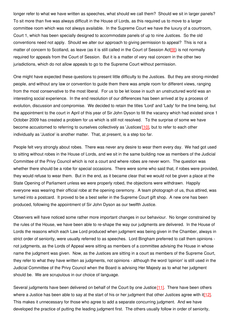longer refer to what we have written as speeches, what should we call them? Should we sit in larger panels? To sit more than five was always difficult in the House of Lords, as this required us to move to a larger committee room which was not always available. In the Supreme Court we have the luxury of a courtroom, Court 1, which has been specially designed to accommodate panels of up to nine Justices. So the old conventions need not apply. Should we alter our approach to giving permission to appeal? This is not a matter of concern to Scotland, as leave (as it is still called in the Court of Session Act<sup>[9]</sup>) is not normally required for appeals from the Court of Session. But it is a matter of very real concern in the other two jurisdictions, which do not allow appeals to go to the Supreme Court without permission.

One might have expected these questions to present little difficulty to the Justices. But they are strong-minded people, and without any law or convention to guide them there was ample room for different views, ranging from the most conservative to the most liberal. For us to be let loose in such an unstructured world was an interesting social experience. In the end resolution of our differences has been arrived at by a process of evolution, discussion and compromise. We decided to retain the titles 'Lord' and 'Lady' for the time being, but the appointment to the court in April of this year of Sir John Dyson to fill the vacancy which had existed since 1 October 2009 has created a problem for us which is still not resolved. To the surprise of some we have become accustomed to referring to ourselves collectively as 'Justices'[\[10\]](http://www.gresham.ac.uk/event.asp?PageId=45&EventId=907#_ftn10), but to refer to each other individually as 'Justice' is another matter. That, at present, is a step too far.

People felt very strongly about robes. There was never any desire to wear them every day. We had got used to sitting without robes in the House of Lords, and we sit in the same building now as members of the Judicial Committee of the Privy Council which is not a court and where robes are never worn. The question was whether there should be a robe for special occasions. There were some who said that, if robes were provided, they would refuse to wear them. But in the end, as it became clear that we would not be given a place at the State Opening of Parliament unless we were properly robed, the objections were withdrawn. Happily everyone was wearing their official robe at the opening ceremony. A team photograph of us, thus attired, was turned into a postcard. It proved to be a best seller in the Supreme Court gift shop. A new one has been produced, following the appointment of Sir John Dyson as our twelfth Justice.

Observers will have noticed some rather more important changes in our behaviour. No longer constrained by the rules of the House, we have been able to re-shape the way our judgments are delivered. In the House of Lords the reasons which each Law Lord produced when judgment was being given in the Chamber, always in strict order of seniority, were usually referred to as speeches. Lord Bingham preferred to call them opinions not judgments, as the Lords of Appeal were sitting as members of a committee advising the House in whose name the judgment was given. Now, as the Justices are sitting in a court as members of the Supreme Court, they refer to what they have written as judgments, not opinions - although the word 'opinion' is still used in the Judicial Committee of the Privy Council when the Board is advising Her Majesty as to what her judgment should be. We are scrupulous in our choice of language.

Several judgments have been delivered on behalf of the Court by one Justice<sup>[\[11\]](http://www.gresham.ac.uk/event.asp?PageId=45&EventId=907#_ftn11)</sup>. There have been others where a Justice has been able to say at the start of his or her judgment that other Justices agree with it[\[12\]](http://www.gresham.ac.uk/event.asp?PageId=45&EventId=907#_ftn12). This makes it unnecessary for those who agree to add a separate concurring judgment. And we have developed the practice of putting the leading judgment first. The others usually follow in order of seniority,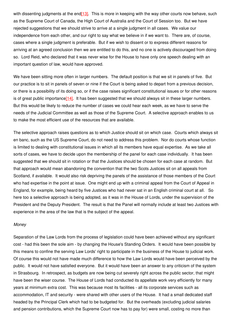with dissenting judgments at the end<sup>[13]</sup>. This is more in keeping with the way other courts now behave, such as the Supreme Court of Canada, the High Court of Australia and the Court of Session too. But we have rejected suggestions that we should strive to arrive at a single judgment in all cases. We value our independence from each other, and our right to say what we believe in if we want to. There are, of course, cases where a single judgment is preferable. But if we wish to dissent or to express different reasons for arriving at an agreed conclusion then we are entitled to do this, and no one is actively discouraged from doing so. Lord Reid, who declared that it was never wise for the House to have only one speech dealing with an important question of law, would have approved.

We have been sitting more often in larger numbers. The default position is that we sit in panels of five. But our practice is to sit in panels of seven or nine if the Court is being asked to depart from a previous decision, or there is a possibility of its doing so, or if the case raises significant constitutional issues or for other reasons is of great public importance  $[14]$ . It has been suggested that we should always sit in these larger numbers. But this would be likely to reduce the number of cases we could hear each week, as we have to serve the needs of the Judicial Committee as well as those of the Supreme Court. A selective approach enables to us to make the most efficient use of the resources that are available.

The selective approach raises questions as to which Justice should sit on which case. Courts which always sit en banc, such as the US Supreme Court, do not need to address this problem. Nor do courts whose function is limited to dealing with constitutional issues in which all its members have equal expertise. As we take all sorts of cases, we have to decide upon the membership of the panel for each case individually. It has been suggested that we should sit in rotation or that the Justices should be chosen for each case at random. But that approach would mean abandoning the convention that the two Scots Justices sit on all appeals from Scotland, if available. It would also risk depriving the panels of the assistance of those members of the Court who had expertise in the point at issue. One might end up with a criminal appeal from the Court of Appeal in England, for example, being heard by five Justices who had never sat in an English criminal court at all. So here too a selective approach is being adopted, as it was in the House of Lords, under the supervision of the President and the Deputy President. The result is that the Panel will normally include at least two Justices with experience in the area of the law that is the subject of the appeal.

#### *Money*

Separation of the Law Lords from the process of legislation could have been achieved without any significant cost - had this been the sole aim - by changing the House's Standing Orders. It would have been possible by this means to confine the serving Law Lords' right to participate in the business of the House to judicial work. Of course this would not have made much difference to how the Law Lords would have been perceived by the public. It would not have satisfied everyone. But it would have been an answer to any criticism of the system in Strasbourg. In retrospect, as budgets are now being cut severely right across the public sector, that might have been the wiser course. The House of Lords had conducted its appellate work very efficiently for many years at minimum extra cost. This was because most its facilities - all its corporate services such as accommodation, IT and security - were shared with other users of the House. It had a small dedicated staff headed by the Principal Clerk which had to be budgeted for. But the overheads (excluding judicial salaries and pension contributions, which the Supreme Court now has to pay for) were small, costing no more than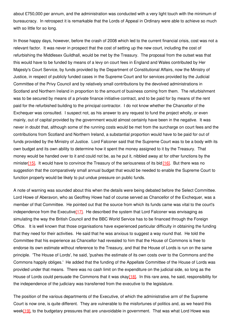about £750,000 per annum, and the administration was conducted with a very light touch with the minimum of bureaucracy. In retrospect it is remarkable that the Lords of Appeal in Ordinary were able to achieve so much with so little for so long.

In those happy days, however, before the crash of 2008 which led to the current financial crisis, cost was not a relevant factor. It was never in prospect that the cost of setting up the new court, including the cost of refurbishing the Middlesex Guildhall, would be met by the Treasury. The proposal from the outset was that this would have to be funded by means of a levy on court fees in England and Wales contributed by Her Majesty's Court Service, by funds provided by the Department of Constitutional Affairs, now the Ministry of Justice, in respect of publicly funded cases in the Supreme Court and for services provided by the Judicial Committee of the Privy Council and by relatively small contributions by the devolved administrations in Scotland and Northern Ireland in proportion to the amount of business coming from them. The refurbishment was to be secured by means of a private finance initiative contract, and to be paid for by means of the rent paid for the refurbished building to the principal contractor. I do not know whether the Chancellor of the Exchequer was consulted. I suspect not, as his answer to any request to fund the project wholly, or even mainly, out of capital provided by the government would almost certainly have been in the negative. It was never in doubt that, although some of the running costs would be met from the surcharge on court fees and the contributions from Scotland and Northern Ireland, a substantial proportion would have to be paid for out of funds provided by the Ministry of Justice. Lord Falconer said that the Supreme Court was to be a body with its own budget and its own ability to determine how it spent the money assigned to it by the Treasury. That money would be handed over to it and could not be, as he put it, nibbled away at for other functions by the ministe[r\[15\]](http://www.gresham.ac.uk/event.asp?PageId=45&EventId=907#_ftn15). It would have to convince the Treasury of the seriousness of its bid [\[16\]](http://www.gresham.ac.uk/event.asp?PageId=45&EventId=907#_ftn16). But there was no suggestion that the comparatively small annual budget that would be needed to enable the Supreme Court to function properly would be likely to put undue pressure on public funds.

A note of warning was sounded about this when the details were being debated before the Select Committee. Lord Howe of Aberavon, who as Geoffrey Howe had of course served as Chancellor of the Exchequer, was a member of that Committee. He pointed out that the source from which its funds came was vital to the court's independence from the Executive<sup>[17]</sup>. He described the system that Lord Falconer was envisaging as simulating the way the British Council and the BBC World Service has to be financed through the Foreign Office. It is well known that those organisations have experienced particular difficulty in obtaining the funding that they need for their activities. He said that he was anxious to suggest a way round that. He told the Committee that his experience as Chancellor had revealed to him that the House of Commons is free to endorse its own estimate without reference to the Treasury, and that the House of Lords is run on the same principle. 'The House of Lords', he said, 'pushes the estimate of its own costs over to the Commons and the Commons happily obliges.' He added that the funding of the Appellate Committee of the House of Lords was provided under that means. There was no cash limit on the expenditure on the judicial side, so long as the House of Lords could persuade the Commons that it was okay[\[18\]](http://www.gresham.ac.uk/event.asp?PageId=45&EventId=907#_ftn18). In this rare area, he said, responsibility for the independence of the judiciary was transferred from the executive to the legislature.

The position of the various departments of the Executive, of which the administrative arm of the Supreme Court is now one, is quite different. They are vulnerable to the misfortunes of politics and, as we heard this week<sup>[19]</sup>, to the budgetary pressures that are unavoidable in government. That was what Lord Howe was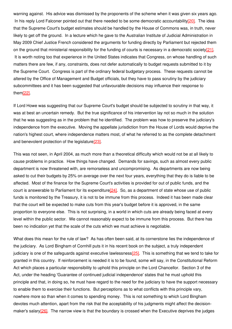warning against. His advice was dismissed by the proponents of the scheme when it was given six years ago. In his reply Lord Falconer pointed out that there needed to be some democratic accountability<sup>[20]</sup>. The idea that the Supreme Court's budget estimates should be handled by the House of Commons was, in truth, never likely to get off the ground. In a lecture which he gave to the Australian Institute of Judicial Administration in May 2009 Chief Justice French considered the arguments for funding directly by Parliament but rejected them on the ground that ministerial responsibility for the funding of courts is necessary in a democratic societ[y\[21\]](http://www.gresham.ac.uk/event.asp?PageId=45&EventId=907#_ftn21). It is worth noting too that experience in the United States indicates that Congress, on whose handling of such matters there are few, if any, constraints, does not defer automatically to budget requests submitted to it by the Supreme Court. Congress is part of the ordinary federal budgetary process. These requests cannot be altered by the Office of Management and Budget officials, but they have to pass scrutiny by the judiciary subcommittees and it has been suggested that unfavourable decisions may influence their response to the[m\[22\]](http://www.gresham.ac.uk/event.asp?PageId=45&EventId=907#_ftn22).

If Lord Howe was suggesting that our Supreme Court's budget should be subjected to scrutiny in that way, it was at best an uncertain remedy. But the true significance of his intervention lay not so much in the solution that he was suggesting as in the problem that he identified. The problem was how to preserve the judiciary's independence from the executive. Moving the appellate jurisdiction from the House of Lords would deprive the nation's highest court, where independence matters most, of what he referred to as the complete detachment and benevolent protection of the legislature<sup>[\[23\]](http://www.gresham.ac.uk/event.asp?PageId=45&EventId=907#_ftn23)</sup>.

This was not seen, in April 2004, as much more than a theoretical difficulty which would not be at all likely to cause problems in practice. How things have changed. Demands for savings, such as almost every public department is now threatened with, are remorseless and uncompromising. As departments are now being asked to cut their budgets by 25% on average over the next four years, everything that they do is liable to be affected. Most of the finance for the Supreme Court's activities is provided for out of public funds, and the court is answerable to Parliament for its expenditure[\[24\]](http://www.gresham.ac.uk/event.asp?PageId=45&EventId=907#_ftn24). So, as a department of state whose use of public funds is monitored by the Treasury, it is not to be immune from this process. Indeed it has been made clear that the court will be expected to make cuts from this year's budget before it is approved, in the same proportion to everyone else. This is not surprising, in a world in which cuts are already being faced at every level within the public sector. We cannot reasonably expect to be immune from this process. But there has been no indication yet that the scale of the cuts which we must achieve is negotiable.

What does this mean for the rule of law? As has often been said, at its cornerstone lies the independence of the judiciary. As Lord Bingham of Cornhill puts it in his recent book on the subject, a truly independent judiciary is one of the safeguards against executive lawlessnes[s\[25\]](http://www.gresham.ac.uk/event.asp?PageId=45&EventId=907#_ftn25). This is something that we tend to take for granted in this country. If reinforcement is needed it is to be found, some will say, in the Constitutional Reform Act which places a particular responsibility to uphold this principle on the Lord Chancellor. Section 3 of the Act, under the heading 'Guarantee of continued judicial independence' states that he must uphold this principle and that, in doing so, he must have regard to the need for the judiciary to have the support necessary to enable them to exercise their functions. But perceptions as to what conflicts with this principle vary, nowhere more so than when it comes to spending money. This is not something to which Lord Bingham devotes much attention, apart from the risk that the acceptability of his judgments might affect the decisionmaker's salary<sup>[26]</sup>. The narrow view is that the boundary is crossed when the Executive deprives the judges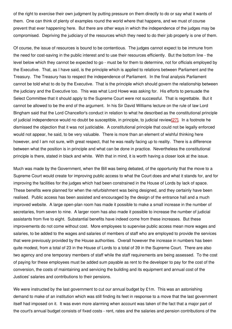of the right to exercise their own judgment by putting pressure on them directly to do or say what it wants of them. One can think of plenty of examples round the world where that happens, and we must of course prevent that ever happening here. But there are other ways in which the independence of the judges may be compromised. Depriving the judiciary of the resources which they need to do their job properly is one of them.

Of course, the issue of resources is bound to be contentious. The judges cannot expect to be immune from the need for cost-saving in the public interest and to use their resources efficiently. But the bottom line - the level below which they cannot be expected to go - must be for them to determine, not for officials employed by the Executive. That, as I have said, is the principle which is applied to relations between Parliament and the Treasury. The Treasury has to respect the independence of Parliament. In the final analysis Parliament cannot be told what to do by the Executive. That is the principle which should govern the relationship between the judiciary and the Executive too. This was what Lord Howe was asking for. His efforts to persuade the Select Committee that it should apply to the Supreme Court were not successful. That is regrettable. But it cannot be allowed to be the end of the argument. In his Sir David Williams lecture on the rule of law Lord Bingham said that the Lord Chancellor's conduct in relation to what he described as the constitutional principle of judicial independence would no doubt be susceptible, in principle, to judicial review<sup>[27]</sup>. In a footnote he dismissed the objection that it was not justiciable. A constitutional principle that could not be legally enforced would not appear, he said, to be very valuable. There is more than an element of wishful thinking here however, and I am not sure, with great respect, that he was really facing up to reality. There is a difference between what the position is in principle and what can be done in practice. Nevertheless the constitutional principle is there, stated in black and white. With that in mind, it is worth having a closer look at the issue.

Much was made by the Government, when the Bill was being debated, of the opportunity that the move to a Supreme Court would create for improving public access to what the Court does and what it stands for, and for improving the facilities for the judges which had been constrained in the House of Lords by lack of space. These benefits were planned for when the refurbishment was being designed, and they certainly have been realised. Public access has been assisted and encouraged by the design of the entrance hall and a much improved website. A large open-plan room has made it possible to make a small increase in the number of secretaries, from seven to nine. A larger room has also made it possible to increase the number of judicial assistants from five to eight. Substantial benefits have indeed come from these increases. But these improvements do not come without cost. More employees to supervise public access mean more wages and salaries, to be added to the wages and salaries of members of staff who are employed to provide the services that were previously provided by the House authorities. Overall however the increase in numbers has been quite modest, from a total of 23 in the House of Lords to a total of 39 in the Supreme Court. There are also two agency and one temporary members of staff while the staff requirements are being assessed. To the cost of paying for these employees must be added sum payable as rent to the developer to pay for the cost of the conversion, the costs of maintaining and servicing the building and its equipment and annual cost of the Justices' salaries and contributions to their pensions.

We were instructed by the last government to cut our annual budget by £1m. This was an astonishing demand to make of an institution which was still finding its feet in response to a move that the last government itself had imposed on it. It was even more alarming when account was taken of the fact that a major part of the court's annual budget consists of fixed costs - rent, rates and the salaries and pension contributions of the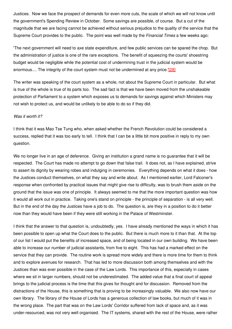Justices. Now we face the prospect of demands for even more cuts, the scale of which we will not know until the government's Spending Review in October. Some savings are possible, of course. But a cut of the magnitude that we are facing cannot be achieved without serious prejudice to the quality of the service that the Supreme Court provides to the public. The point was well made by the *Financial Times* a few weeks ago:

'The next government will need to axe state expenditure, and few public services can be spared the chop. But the administration of justice is one of the rare exceptions. The benefit of squeezing the courts' shoestring budget would be negligible while the potential cost of undermining trust in the judicial system would be enormous.... The integrity of the court system must not be undermined at any price.'[\[28\]](http://www.gresham.ac.uk/event.asp?PageId=45&EventId=907#_ftn28)

The writer was speaking of the court system as a whole, not about the Supreme Court in particular. But what is true of the whole is true of its parts too. The sad fact is that we have been moved from the unshakeable protection of Parliament to a system which exposes us to demands for savings against which Ministers may not wish to protect us, and would be unlikely to be able to do so if they did.

#### *Was it worth it?*

I think that it was Mao Tse Tung who, when asked whether the French Revolution could be considered a success, replied that it was too early to tell. I think that I can be a little bit more positive in reply to my own question.

We no longer live in an age of deference. Giving an institution a grand name is no guarantee that it will be respected. The Court has made no attempt to go down that false trail. It does not, as I have explained, strive to assert its dignity by wearing robes and indulging in ceremonies. Everything depends on what it does - how the Justices conduct themselves, on what they say and write about. As I mentioned earlier, Lord Falconer's response when confronted by practical issues that might give rise to difficulty, was to brush them aside on the ground that the issue was one of principle. It always seemed to me that the more important question was how it would all work out in practice. Taking one's stand on principle - the principle of separation - is all very well. But in the end of the day the Justices have a job to do. The question is, are they in a position to do it better now than they would have been if they were still working in the Palace of Westminster.

I think that the answer to that question is, undoubtedly, yes. I have already mentioned the ways in which it has been possible to open up what the Court does to the public. But there is much more to it than that. At the top of our list I would put the benefits of increased space, and of being located in our own building. We have been able to increase our number of judicial assistants, from five to eight. This has had a marked effect on the service that they can provide. The routine work is spread more widely and there is more time for them to think and to explore avenues for research. That has led to more discussion both among themselves and with the Justices than was ever possible in the case of the Law Lords. This importance of this, especially in cases where we sit in larger numbers, should not be underestimated. The added value that a final court of appeal brings to the judicial process is the time that this gives for thought and for discussion. Removed from the distractions of the House, this is something that is proving to be increasingly valuable. We also now have our own library. The library of the House of Lords has a generous collection of law books, but much of it was in the wrong place. The part that was on the Law Lords' Corridor suffered from lack of space and, as it was under-resourced, was not very well organised. The IT systems, shared with the rest of the House, were rather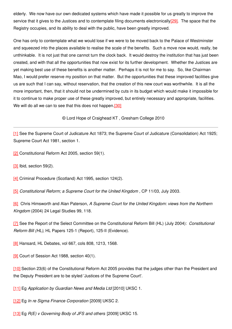elderly. We now have our own dedicated systems which have made it possible for us greatly to improve the service that it gives to the Justices and to contemplate filing documents electronically<sup>[29]</sup>. The space that the Registry occupies, and its ability to deal with the public, have been greatly improved.

One has only to contemplate what we would lose if we were to be moved back to the Palace of Westminster and squeezed into the places available to realise the scale of the benefits. Such a move now would, really, be unthinkable. It is not just that one cannot turn the clock back. It would destroy the institution that has just been created, and with that all the opportunities that now exist for its further development. Whether the Justices are yet making best use of these benefits is another matter. Perhaps it is not for me to say. So, like Chairman Mao, I would prefer reserve my position on that matter. But the opportunities that these improved facilities give us are such that I can say, without reservation, that the creation of this new court was worthwhile. It is all the more important, then, that it should not be undermined by cuts in its budget which would make it impossible for it to continue to make proper use of these greatly improved, but entirely necessary and appropriate, facilities. We will do all we can to see that this does not happen.<sup>[30]</sup>

© Lord Hope of Craighead KT , Gresham College 2010

[\[1\]](http://www.gresham.ac.uk/event.asp?PageId=45&EventId=907#_ftnref1) See the Supreme Court of Judicature Act 1873; the Supreme Court of Judicature (Consolidation) Act 1925; Supreme Court Act 1981, section 1.

[\[2\]](http://www.gresham.ac.uk/event.asp?PageId=45&EventId=907#_ftnref2) Constitutional Reform Act 2005, section 59(1).

[\[3\]](http://www.gresham.ac.uk/event.asp?PageId=45&EventId=907#_ftnref3) Ibid, section 59(2).

[\[4\]](http://www.gresham.ac.uk/event.asp?PageId=45&EventId=907#_ftnref4) Criminal Procedure (Scotland) Act 1995, section 124(2).

[\[5\]](http://www.gresham.ac.uk/event.asp?PageId=45&EventId=907#_ftnref5) *Constitutional Reform; a Supreme Court for the United Kingdom* , CP 11/03, July 2003.

[\[6\]](http://www.gresham.ac.uk/event.asp?PageId=45&EventId=907#_ftnref6) Chris Himsworth and Alan Paterson, *A Supreme Court for the United Kingdom: views from the Northern Kingdom* (2004) 24 Legal Studies 99, 118*.*

[\[7\]](http://www.gresham.ac.uk/event.asp?PageId=45&EventId=907#_ftnref7) See the Report of the Select Committee on the Constitutional Reform Bill (HL) (July 2004): *Constitutional Reform Bill (HL)*, HL Papers 125-1 (Report), 125-II (Evidence).

[\[8\]](http://www.gresham.ac.uk/event.asp?PageId=45&EventId=907#_ftnref8) Hansard, HL Debates, vol 667, cols 808, 1213, 1568.

[\[9\]](http://www.gresham.ac.uk/event.asp?PageId=45&EventId=907#_ftnref9) Court of Session Act 1988, section 40(1).

[\[10\]](http://www.gresham.ac.uk/event.asp?PageId=45&EventId=907#_ftnref10) Section 23(6) of the Constitutional Reform Act 2005 provides that the judges other than the President and the Deputy President are to be styled 'Justices of the Supreme Court'.

[\[11\]](http://www.gresham.ac.uk/event.asp?PageId=45&EventId=907#_ftnref11) Eg *Application by Guardian News and Media Ltd* [2010] UKSC 1.

[\[12\]](http://www.gresham.ac.uk/event.asp?PageId=45&EventId=907#_ftnref12) Eg *In re Sigma Finance Corporation* [2009] UKSC 2.

[\[13\]](http://www.gresham.ac.uk/event.asp?PageId=45&EventId=907#_ftnref13) Eg *R(E) v Governing Body of JFS and others* [2009] UKSC 15.